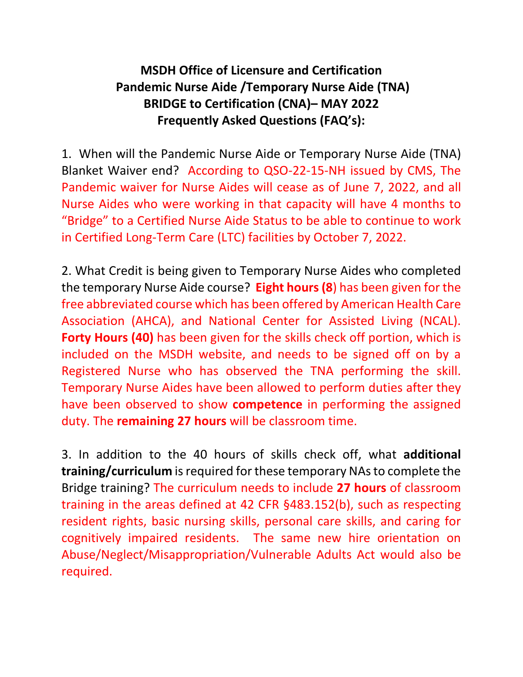## **MSDH Office of Licensure and Certification Pandemic Nurse Aide /Temporary Nurse Aide (TNA) BRIDGE to Certification (CNA)– MAY 2022 Frequently Asked Questions (FAQ's):**

1. When will the Pandemic Nurse Aide or Temporary Nurse Aide (TNA) Blanket Waiver end? According to QSO-22-15-NH issued by CMS, The Pandemic waiver for Nurse Aides will cease as of June 7, 2022, and all Nurse Aides who were working in that capacity will have 4 months to "Bridge" to a Certified Nurse Aide Status to be able to continue to work in Certified Long-Term Care (LTC) facilities by October 7, 2022.

2. What Credit is being given to Temporary Nurse Aides who completed the temporary Nurse Aide course? **Eight hours (8**) has been given for the free abbreviated course which has been offered by American Health Care Association (AHCA), and National Center for Assisted Living (NCAL). **Forty Hours (40)** has been given for the skills check off portion, which is included on the MSDH website, and needs to be signed off on by a Registered Nurse who has observed the TNA performing the skill. Temporary Nurse Aides have been allowed to perform duties after they have been observed to show **competence** in performing the assigned duty. The **remaining 27 hours** will be classroom time.

3. In addition to the 40 hours of skills check off, what **additional training/curriculum** is required for these temporary NAs to complete the Bridge training? The curriculum needs to include **27 hours** of classroom training in the areas defined at 42 CFR §483.152(b), such as respecting resident rights, basic nursing skills, personal care skills, and caring for cognitively impaired residents. The same new hire orientation on Abuse/Neglect/Misappropriation/Vulnerable Adults Act would also be required.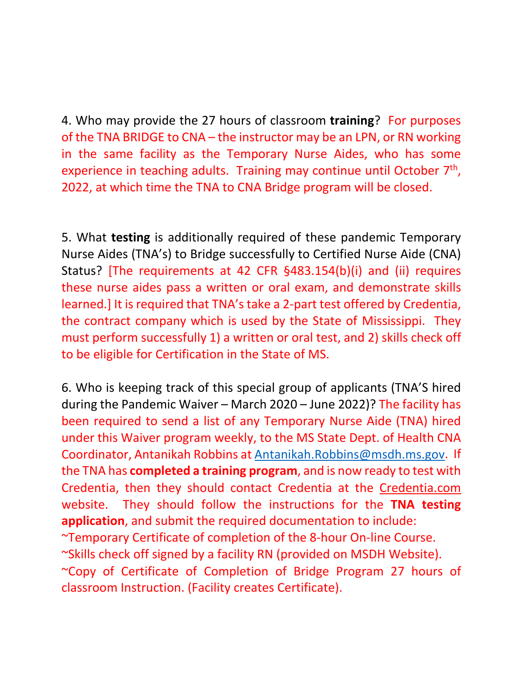4. Who may provide the 27 hours of classroom **training**? For purposes of the TNA BRIDGE to CNA – the instructor may be an LPN, or RN working in the same facility as the Temporary Nurse Aides, who has some experience in teaching adults. Training may continue until October 7<sup>th</sup>, 2022, at which time the TNA to CNA Bridge program will be closed.

5. What **testing** is additionally required of these pandemic Temporary Nurse Aides (TNA's) to Bridge successfully to Certified Nurse Aide (CNA) Status? [The requirements at 42 CFR §483.154(b)(i) and (ii) requires these nurse aides pass a written or oral exam, and demonstrate skills learned.] It is required that TNA's take a 2-part test offered by Credentia, the contract company which is used by the State of Mississippi. They must perform successfully 1) a written or oral test, and 2) skills check off to be eligible for Certification in the State of MS.

6. Who is keeping track of this special group of applicants (TNA'S hired during the Pandemic Waiver – March 2020 – June 2022)? The facility has been required to send a list of any Temporary Nurse Aide (TNA) hired under this Waiver program weekly, to the MS State Dept. of Health CNA Coordinator, Antanikah Robbins at [Antanikah.Robbins@msdh.ms.gov.](mailto:Antanikah.Robbins@msdh.ms.gov) If the TNA has **completed a training program**, and is now ready to test with Credentia, then they should contact Credentia at the Credentia.com website. They should follow the instructions for the **TNA testing application**, and submit the required documentation to include: ~Temporary Certificate of completion of the 8-hour On-line Course. ~Skills check off signed by a facility RN (provided on MSDH Website). ~Copy of Certificate of Completion of Bridge Program 27 hours of classroom Instruction. (Facility creates Certificate).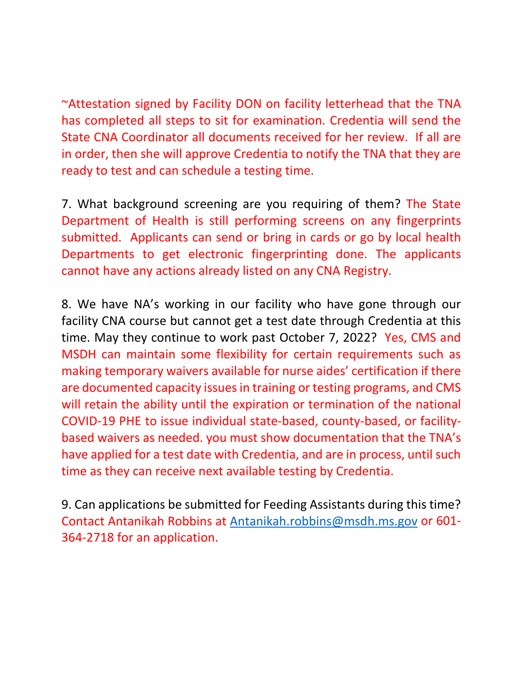~Attestation signed by Facility DON on facility letterhead that the TNA has completed all steps to sit for examination. Credentia will send the State CNA Coordinator all documents received for her review. If all are in order, then she will approve Credentia to notify the TNA that they are ready to test and can schedule a testing time.

7. What background screening are you requiring of them? The State Department of Health is still performing screens on any fingerprints submitted. Applicants can send or bring in cards or go by local health Departments to get electronic fingerprinting done. The applicants cannot have any actions already listed on any CNA Registry.

8. We have NA's working in our facility who have gone through our facility CNA course but cannot get a test date through Credentia at this time. May they continue to work past October 7, 2022? Yes, CMS and MSDH can maintain some flexibility for certain requirements such as making temporary waivers available for nurse aides' certification if there are documented capacity issues in training or testing programs, and CMS will retain the ability until the expiration or termination of the national COVID-19 PHE to issue individual state-based, county-based, or facilitybased waivers as needed. you must show documentation that the TNA's have applied for a test date with Credentia, and are in process, until such time as they can receive next available testing by Credentia.

9. Can applications be submitted for Feeding Assistants during this time? Contact Antanikah Robbins at [Antanikah.robbins@msdh.ms.gov](mailto:Antanikah.robbins@msdh.ms.gov) or 601- 364-2718 for an application.